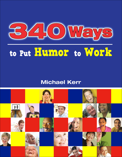

# **to Put Humor to Work**

#### **Michael Kerr**

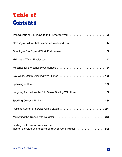## **Table of Contents**

| Introduction: 340 Ways to Put Humor to Work 3                                                 |
|-----------------------------------------------------------------------------------------------|
|                                                                                               |
|                                                                                               |
|                                                                                               |
|                                                                                               |
|                                                                                               |
|                                                                                               |
| Laughing for the Health of It: Stress Busting With Humor 15                                   |
|                                                                                               |
|                                                                                               |
|                                                                                               |
| Finding the Funny in Everyday Life:<br>Tips on the Care and Feeding of Your Sense of Humor 32 |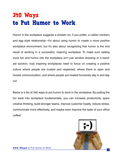#### <span id="page-2-0"></span>**340 Ways to Put Humor to Work**

Humor in the workplace suggests a chicken (or, if you prefer, a rubber chicken) and egg style relationship—it's about using humor to create a more positive workplace environment, but it's also about recognizing that humor is the end result of working in a successful, inspiring workplace. To make sure adding more fun and humor into the workplace isn't just window dressing or a bandaid solution, truly inspiring workplaces need to focus on creating a positive culture where people are trusted and respected, where there is open and honest communication, and where people are treated humanely day in and day out.

Below is a list of 340 ways to put humor to work in the workplace. By putting the fun back into workplace fundamentals, you can increase productivity, spark creative thinking, build stronger teams, improve customer loyalty, reduce stress, communicate more effectively, and maybe even improve the taste of your office coffee!

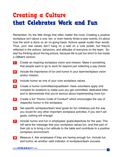#### <span id="page-3-0"></span>**Creating a Culture that Celebrates Work and Fun**

Remember, it's the little things that often matter the most. Creating a positive workplace isn't about a one, ten, or even twenty times-a-year events; it's about how the work is done on an on-going basis. Actions speak louder than words. Thus, your real values don't hang on a wall on a cute poster, but they're reflected in the actions, behaviors, and attitudes of everyone on the team. So, start by thinking about the big picture, because life is just too short to live inside a *Dilbert* cartoon.

- **1** Create an inspiring workplace vision and mission. Make it something that people want to go to work for beyond just collecting a pay check!
- **2** Include the importance of fun and humor in your team/workplace vision and/or mission.
- **3** Include humor as one of your core workplace values.
- **4** Create a humor committee/squad/team. Have volunteers apply and compete for positions to make sure you get committed, dedicated folks and to demonstrate that you're serious about implementing more fun.
- **5** Create a fun "Humor Code of Conduct" which encourages the use of respectful humor in the workplace.
- **6** Set specific workplace/team level goals for fun initiatives just the way you would for any other important workplace activities. If you don't set goals, nothing will change!
- **7** Include humor and fun in employees' goals/objectives for the year. This will send the message that your workplace values fun, and that part of their job is to bring a fun attitude to the table and contribute to a positive workplace environment.
- **8** Measure it. Ask employees if they are having enough fun. Include fun and humor as another valid indicator of workplace/team success.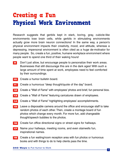#### <span id="page-4-0"></span>**Creating a Fun Physical Work Environment**

Research suggests that gerbils kept in stark, boring, gray, cubicle-like environments lose brain cells, while gerbils in stimulating environments actually grow more brain neuron connections! In the same way, a person's physical environment impacts their creativity, mood, and attitude, whereas a depressing, impersonal environment is often cited as a huge de-motivator for many people. So, create a fun, positive, humane workplace environment where people want to spend one third of their waking hours!

- **9** Don't just allow, but encourage people to personalize their work areas. Businesses that still discourage this are in the dark ages! With such a large amount of time spent at work, employees need to feel comforted by their surroundings.
- **10** Create a humor bulletin board.
- **11** Create a humorous "deep thought/quote of the day" board.
- **12** Create a "Wall of Fame" with employees' photos and brief, fun personal bios.
- **13** Create a "Wall of Fame" featuring caricatures drawn of employees.
- **14** Create a "Wall of Fame" highlighting employees' accomplishments.
- **15** Leave a disposable camera around the office and encourage staff to take random photos of each other. Then, create a montage board of fun photos which change every month. For more fun, add changeable thought/speech bubbles to the photos.
- **16** Create fun office directional signs or street signs for hallways.
- **17** Name your hallways, meeting rooms, and even stairwells fun, inspirational names.
- **18** Create a fun waiting/room reception area with fun photos or humorous books and with things to do to help clients pass the time.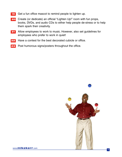- **19** Get a fun office mascot to remind people to lighten up.
- **20** Create (or dedicate) an official "Lighten Up!" room with fun props, books, DVDs, and audio CDs to either help people de-stress or to help them spark their creativity.
- **21** Allow employees to work to music. However, also set guidelines for employees who prefer to work in quiet!
- **22** Have a contest for the best decorated cubicle or office.
- **23** Post humorous signs/posters throughout the office.

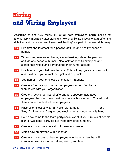### <span id="page-6-0"></span>**Hiring and Wiring Employees**

According to one U.S. study, 1/3 of all new employees begin looking for another job immediately after starting a new one! So, it's critical to start off on the right foot and make new employees feel like they're a part of the team right away.

- **24** Hire first and foremost for a positive attitude and healthy sense of humor.
- **25** When doing reference checks, ask extensively about the person's attitude and sense of humor. Also, ask for specific examples and stories that reflect and demonstrate their humor attitude.
- **26** Use humor in your help wanted ads. This will help your ads stand out, and it will help you attract the right kind of people.
- **27** Use humor in your employee orientation materials.
- **28** Create a fun trivia quiz for new employees to help familiarize themselves with your organization.
- **29** Create a "scavenger list" of different, fun, obscure facts about employees that new hires must complete within a month. This will help them connect with all of the employees.
- **30** Have all employees wear a "Hello, My Name is\_\_\_\_\_\_\_\_\_\_\_\_" or a "Hey, I'm New Here!" tag for one week when someone new is hired.
- **31** Hold a welcome to the team party/social event. If you hire lots of people, plan a "Welcome" party for everyone new once a month.
- **32** Create a humorous survival kit for new employees.
- **33** Match new employees with a mentor.
- **34** Create a humorous, upbeat employee orientation video that will introduce new hires to the values, vision, and team.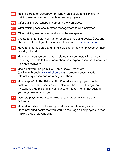- **35** Hold a parody of "Jeopardy" or "Who Wants to Be a Millionaire" in training sessions to help orientate new employees.
- **36** Offer training workshops in humor in the workplace.
- **37** Offer training sessions in stress management to all employees.
- **38** Offer training sessions in creativity in the workplace.
- **39** Create a humor library of humor resources including books, CDs, and DVDs. (For lots of great resources, check out [www.mikekerr.com.](http://www.mikekerr.com/))
- **40** Have a humorous card and fun gift waiting for new employees on their first day of work.
- **41** Hold weekly/daily/monthly work-related trivia contests with prizes to encourage people to learn more about your organization; hold team and individual contests.
- **42** Use a software program like "Game Show Presenter" (available through [www.mikekerr.com\)](http://www.mikekerr.com/) to create a customized, interactive question and answer game show.
- **43** Hold a spoof of "The Price is Right" to educate employees on the costs of products or services and, also, on the costs of things that mysteriously go missing in workplaces or hidden items that suck up your organization's budget.
- **44** Use role plays, cartoons, fun videos, and props to liven up training sessions.
- **45** Have door prizes in all training sessions that relate to your workplace. Recommended books that you would encourage all employees to read make a great, relevant prize.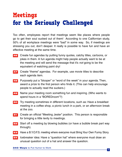### <span id="page-8-0"></span>**Meetings for the Seriously Challenged**

Too often, employees report that meetings seem like places where people go to get their soul sucked out of them! According to one Californian study, 50% of all workplace meetings were "bad" in some way. So, if meetings are stressing you out, don't despair. It really is possible to have fun and have an effective meeting at the same time.

- **46** Create fun agendas by putting funny quotes, catchy titles, cartoons, or jokes in them. A fun agenda might help people actually want to be at the meeting and will send the message that it's *not* going to be the equivalent of watching paint dry!
- **47** Create "theme" agendas. For example, use movie titles to describe each agenda item.
- **48** Purposely put a "blooper" or "word of the week" in your agenda. Then, award a prize to the first person who finds it. (This can help encourage people to actually read the suckers.)
- **49** Name your meeting room something fun and inspiring. (Who wants to spend hours in a "BOREDroom"?)
- **50** Try meeting sometimes in different locations, such as: Have a breakfast meeting in a coffee shop, a picnic lunch in a park, or an afternoon break at the zoo.
- **51** Create an official "Meeting Jester" position. This person is responsible for bringing a little levity to meetings.
- **52** Start off a meeting by blowing bubbles (or have a bubble break part way through).
- **53** Have a B.Y.O.F.S. meeting where everyone must Bring Your Own Funny Story.
- **54** Icebreaker idea: Have a "question hat" where everyone must draw an unusual question out of a hat and answer the question.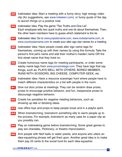- **55** Icebreaker idea: Start a meeting with a funny story, high energy video clip (for suggestions, see [www.mikekerr.com\)](http://www.mikekerr.com/), or funny quote of the day to launch things on a positive note.
- **56** Icebreaker idea: Play the game "Two Truths and One Lie". Each employee tells two quick truths and one lie about themselves. Then, the other team members have to guess which statement is the lie.
- **57** Icebreaker idea: Go to [www.popstarname.com,](http://www.popstarname.com/) [www.rockstarname.com,](http://www.rockstarname.com/) or [www.countrystarname.com](http://www.countrystarname.com/) to create your alter ego star names for a meeting.
- **58** Icebreaker idea: Have people create alter ego name tags for themselves, coming up with their names by using this formula: Take the person's first pet's name and add their mother's maiden name OR the first street name that they lived on.
- **59** Create humorous name tags for meeting participants, or order some wacky name tags from [www.pcnametags.com.](http://www.pcnametags.com/) They have tags that say things, such as: PLAYS WELL WITH OTHERS, BORED MEMBER, RUNS WITH SCISSORS, BIG CHEESE, COMPUTER GEEK, etc.
- **60** Icebreaker idea: Have a resource scavenger hunt where people have to match different characteristics on a list with people in the room.
- **61** Give out door prizes at meetings. They can be random draw prizes, prizes to encourage positive behavior, and fun, inexpensive prizes to discourage negative behavior.
- **62** Create fun penalties for negative meeting behaviors, such as: showing up late or blocking ideas.
- **63** Use office toys and props to keep people loose and in a playful spirit.
- **64** When brainstorming, brainstorm something silly to warm people up to the process. For example, brainstorm as many uses for a paper clip as you possibly can.
- **65** Play an icebreaking game before brainstorming. Some great games to play are charades, Pictionary, or theatre improvisation.
- **66** Arm people with Nerf balls or water pistols, and anyone who utters an idea-squashing phrase will get fired upon. Another great idea is to make them pay 25 cents to the social fund for each idea-squasher.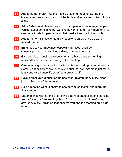- **67** Add a "humor break" into the middle of a long meeting. During this break, everyone must go around the table and tell a clean joke or funny story.
- **68** Add a "whine and cheese" section to the agenda to encourage people to "whine" about something not working at work in a fun, silly manner. This can make it safe for people to air their frustrations in a lighter context.
- **69** Add a "rumor mill" section to allow people to safely bring up workrelated rumors.
- **70** Bring food to your meetings, especially fun food, such as: cookies, popcorn for watching videos, or marshmallows.
- **71** Give people a standing ovation when they have done something noteworthy or simply for arriving at the meeting!
- **72** Create fun signs that meeting participants can hold up during meetings. Some great examples would be signs such as: "WOW!", "Is it just me or is anyone else hungry?", or "What a great idea!"
- **73** Have a small award/prize for the best work-related funny story, clean joke, or blooper of the meeting.
- **74** Hold a meeting without chairs to see how much faster (and more fun) they can be.
- **75** End meetings with a "one great thing that happened since the last time we met" story, a "one exciting thing I'm working on right now" story, or any funny story. Anything that ensures you end the meeting on a high note!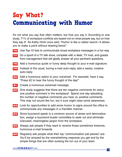## <span id="page-11-0"></span>**Say What? Communicating with Humor**

It's not what you say that often matters, but how you say it. According to one study, 71% of workplace conflicts are based not on what people say, but on how they say it! As Kathy Hirsh once said, "Humor is like a rubber sword—it allows you to make a point without drawing blood."

- **76** Use Top-10 lists to communicate broad workplace messages in a fun way.
- **77** Do a spoof of a TV talk show, complete with a desk, TV host, and guests from management that will gladly answer all your pertinent questions.
- **78** Add a humorous quote or funny deep thought to your e-mail signature.
- **79** Instead of the usual, boring e-mail auto-reply, add a wacky, creative auto-reply.
- **80** Add a humorous option to your voicemail. For example, have it say, "Press #2 to hear the funny thought of the day!"
- **81** Create a humorous voicemail message.
- **82** One study suggests that there are ten negative comments for every one positive comment in the workplace! Spend one day tabulating the number of negative comments you hear vs. positive comments. This may not sound like fun, but it sure might raise some awareness.
- **83** Look for opportunities to add some humor to signs around the office to communicate any messages in a friendlier manner.
- **84** Since buzzword speak is a common source of stress and demoralization, assign a buzzword buster committee to seek out and eliminate overused, meaningless jargon from the workplace.
- **85** Always ask people if they want to receive those sometimes tiresome, humorous e-mail forwards.
- **86** Regularly ask people what their top "communication pet peeves" are. You'll be amazed by the overwhelming response you get and by the simple things that are often sucking the fun out of your team.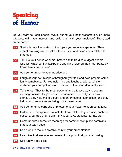### <span id="page-12-0"></span>**Speaking of Humor**

Do you want to keep people awake during your next presentation, be more effective, calm your nerves, and build trust with your audience? Then, add some humor!

- **87** Start a humor file related to the topics you regularly speak on. Then, collect amusing stories, jokes, funny trivia, and news items related to that topic.
- **88** Tap into your sense of humor before a talk. Studies suggest people who just watched *Seinfeld* before speaking lowered their heartbeats by 20-40 beats per minute!
- **89** Add some humor to your introduction.
- **90** Laugh at your own bloopers throughout your talk and even prepare some funny comebacks. For example: If no one laughs at a joke, tell the audience your competitor wrote it for you or that your Mom really liked it.
- **91** Tell stories. They're the most powerful and effective way to get any message across, they're easy to remember (especially your own stories), they help make a point and an emotional connection, and they help you come across as being more personable.
- **92** Add some funny cartoons or photos to your PowerPoint presentations.
- **93** Collect and incorporate fun facts that are related to your topic, such as: obscure, but true and relevant trivia, surveys, statistics, terms, etc.
- **94** Come up with alternative meanings for common workplace acronyms that your team uses.
- **95** Use props to make a creative point in your presentations.
- **96** Use jokes that are safe and relevant to a point that you are making.
- **97** Use funny video clips.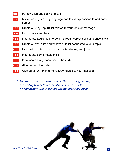- Parody a famous book or movie.
- Make use of your body language and facial expressions to add some humor.
- Create a funny Top-10 list related to your topic or message.
- Incorporate role plays.
- Incorporate audience interaction through surveys or game show style
- Create a "what's in" and "what's out" list connected to your topic.
- Use participant's names in handouts, stories, and jokes.
- Incorporate some magic tricks.
- Plant some funny questions in the audience.
- Give out fun door prizes.
- Give out a fun reminder giveaway related to your message.
	- \* For free articles on presentation skills, managing nerves, and adding humor to presentations, surf on over to: www.**mikekerr**[.com/cms/index.php/](http://www.mikekerr.com/cms/index.php/humour-resources/)**humour-resources**/



www.**mikekerr**.com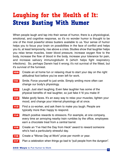#### <span id="page-14-0"></span>**Laughing for the Health of It: Stress Busting With Humor**

When people laugh and tap into their sense of humor, there is a physiological, emotional, and cognitive response, so it's no wonder humor is thought to be one of the most powerful stress busters available to us. Your sense of humor helps you to focus your brain on possibilities in the face of conflict and helps you to, at least temporarily, rise above a crisis. Studies show that laughter helps you relax tense muscles, lower blood pressure, increase oxygen flow to the body, increase the flow of blood in the body, increase your tolerance for pain, and increase salivary immunoglobulin A (which helps fight respiratory infections). So, perhaps Darwin had it wrong; it's not survival of the fittest, but it's survival of the funniest.

- **109** Create an at home fun or relaxing ritual to start your day on the right attitudinal foot before you've even left for work.
- **110** Smile. Force yourself to just smile. Simply smiling more often can change our body's physiology.
- **111** Laugh. Just start laughing. Even fake laughter has some of the physical benefits of real laughter, so just fake it 'til you make it!
- **112** Make goofy faces. It's an easy way to relax your muscles, lighten your mood, and change your internal physiology all at once.
- **113** Find a co-worker, and ask them to make you laugh. People are typically more than happy to respond.
- **114** Attach positive rewards to stressors. For example, at one company, every time an annoying nearby train rumbles by the office, employees earn a chocolate treat from a central barrel.
- **115** Create an "I've Had the Day from Heck" award to reward someone who's had a particularly stressful day.
- **116** Create a "Worse Day at Work" prize per month or year.
- **117** Plan a celebration when things go bad to "pull people from the dungeon".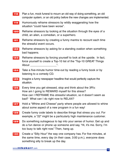- **118** Plan a fun, mock funeral to mourn an old way of doing something, an old computer system, or an old policy before the new changes are implemented.
- **119** Humorously reframe stressors by wildly exaggerating how the situation "could have been worse".
- **120** Reframe stressors by looking at the situation through the eyes of a child, an alien, a comedian, or a superhero.
- **121** Reframe stressors by creating a funny mantra to recount each time the stressful event occurs.
- **122** Reframe stressors by asking for a standing ovation when something bad happens.
- **123** Reframe stressors by forcing yourself to look at the upside. In fact, force yourself to create a Top-10 list of the "Top-10 GREAT Things About
- **124** Take a five-minute humor time-out by reading a funny book or by listening to a comedy CD.
- **125** Imagine a funny newspaper headline that would perfectly capture the situation.
- **126** Every time you get stressed, stop and think about the 3R's: How am I going to REWARD myself for this stress? How can I REFRAME this stressful situation, so it doesn't seem as bad? What can I do right now to RELAX?
- **127** Hold a "Whine and Cheese" party where people are allowed to whine about some aspect of a new program in a fun way!
- **128** Create funny code labels to describe things that stress you out. For example, a "22" might be a particularly high maintenance customer.
- **129** Do something outrageous to tap into your sense of humor. Get up and do a fun dance or phone up someone and say, "Hi, it's me. Sorry, I'm too busy to talk right now." Then, hang up.
- **130** Create a "Silly Hour" the way one company has. For five minutes, at the same time, every day (in their case, 3:00 p.m.), everyone does something silly to break up the day.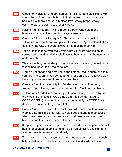- **131** Create an individual or team "humor first-aid kit", and stockpile it with things that will help people tap into their sense of humor, such as: books, CDs, funny photos, fun office toys, wacky props, wacky costume parts, clown noses, or silly putty.
- **132** Have a "humor buddy". This is a go to person who can offer a humorous perspective when things get stressful.
- **133** Create a "stress busting squad". This is a team of committed volunteers who seek out workplace stressors and "jobstacles" that are getting in the way of people having fun and doing their work.
- **134** Take breaks that get you away from what you were working on. If you've been standing all day, sit; if you've been sitting at the computer, go for a walk.
- **135** Wear something fun under your work clothes to remind yourself not to take things, or yourself, too seriously.
- **136** Find a quiet space and simply take the time to recall a funny event in your life. Transporting yourself to a humorous time is an effective way to calm your nerves and lower your heartbeat
- **137** Create a fun ritual or activity for Sunday evenings, a time many workers report feeling stressed about with the "back to work blahs".
- **138** Instead of a "Code Red", come up with some funny codes to lighten the mood. For example: CODE BLUE (I need coffee - STAT!), CODE GREEN (I jammed the photocopier again!), or CODE PINK (Someone make me laugh, quickly!).
- **139** Have a "bonehead play of the month" award where people nominate themselves. This is a great way to help people manage their stress when they mess up, and a great way to help everyone admit their bloopers and learn from them at the same time.
- **140** Keep a blooper book where people can record their bloopers. This will help to encourage people to lighten up on small every day blunders and not take themselves so seriously.
- **141** Try what's known as "cartooning". Imagine a cartoon strip or thought bubble that would put a humorous slant on the stressful situation.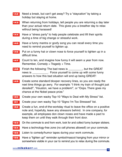- **142** Need a break, but can't get away? Try a "staycation" by taking a holiday but staying at home.
- **143** When returning from holidays, tell people you are returning a day later than your actual return date. This gives you a breather day to relax without being harassed!
- **144** Have a "stress party" to help people celebrate and lift their spirits during a time of big change or stressful work.
- **145** Have a funny mantra or goofy song you can recall every time you need to remind yourself to lighten up.
- **146** Put on a funny hat or clown nose to force yourself to lighten up in a difficult time.
- **147** Count to ten, and imagine how funny it will seem a year from now. Remember, Comedy = Tragedy  $+$  Time.
- **148** Finish the following: The bad news is \_\_\_\_\_\_\_\_\_, but the GREAT news is \_\_\_\_\_\_\_\_\_\_\_. Force yourself to come up with some funny answers to how this bad situation will end up being GREAT!
- **149** Create some standard blooper recovery lines, so you are ready the next time things go awry. For example: "I think my train of thought just derailed!", "Houston, we have a problem!", or "Oops. There goes my chance at the Nobel peace prize."
- **150** Create your own wacky Top-10 "Ways to Deal with My Stress" list.
- **151** Create your own wacky Top-10 "Signs I'm Too Stressed" list.
- **152** Create a fun, end-of-the-workday ritual to leave the office on a positive note and, hopefully, leave any stressors behind. In one company, for example, all employees don clown noses and have made a pact to keep them on until they walk through their front door.
- **153** On the commute to and from work, look for and collect funny bumper stickers.
- **154** Have a technology-free zone (no cell phones allowed!) on your commute.
- **155** Listen to comedy/humor tapes during your work commute.
- **156** Have a "lighten up!" reminder symbol/mascot hanging from your mirror or somewhere visible in your car to remind you to relax during the commute.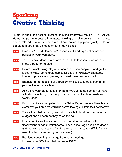#### <span id="page-18-0"></span>**Sparking Creative Thinking**

Humor is one of the best catalysts for thinking creatively. (Yes,  $Ha + Ha = AHA!)$ ) Humor helps move people into lateral thinking and divergent thinking modes, and a relaxed, fun workplace atmosphere makes it psychologically safe for people to share creative ideas on an ongoing basis.

- **157** Create a "Dilbert Committee" to identify Dilbert-type behaviors and policies in your workplace.
- **158** To spark new ideas, brainstorm in an offsite location, such as: a coffee shop, a park, or the zoo.
- **159** Before brainstorming, play a fun game to loosen people up and get the juices flowing. Some great games for this are Pictionary, charades, theater improvisational games, or brainstorming something silly.
- **160** Brainstorm the opposite of a problem or issue to force a change of perspective on a problem.
- **161** Ask a five-year old for ideas, or, better yet, as some companies have actually done, bring in a group of kids to consult with for fresh and wacky ideas!
- **162** Randomly pick an occupation from the Yellow Pages directory. Then, brainstorm how your problem would be solved looking at it from their perspective.
- **163** Toss a foam ball around, prompting people to blurt out spontaneous suggestions as soon as they catch the ball.
- **164** Line an entire wall in a meeting room or along a hallway with "inspiration" or "idea" whiteboards. Then, encourage people to doodle and jot down suggestions for ideas to particular issues. (Walt Disney used this technique with great success.)
- **165** Ban idea-squashing language from your meetings. For example, "We tried that before in 1947".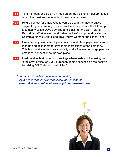- **166** Take the team and go on an "idea safari" by visiting a museum, a zoo, or another business in search of ideas you can use.
- **167** Hold a contest for employees to come up with the most creative slogan for your company. Some real life examples are the following: a company called Dave's Drilling and Blasting: "We Don't Stand Behind Our Work – We Stand Behind a Tree", or optometrists' office in California: "If You Can't Read This, You've Come to the Right Place!"
- **168** One company sends employees crayons and blank paper every six months and asks them to draw their impressions of the company. This is a great way to spark creativity and a fun way to gauge people's emotional connection to the workplace.
- **169** Hold creative brainstorming meetings where instead of focusing on "problems" or "issues", you purposely remain focused on the positive by talking ONLY about "possibilities".
	- \* For more free articles and ideas on putting creativity to work in your workplace, surf on over to **[www.mikekerr.com/cms/index.php/humour-resources/](http://www.mikekerr.com/cms/index.php/humour-resources/)**.

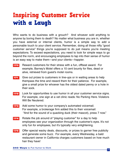### <span id="page-20-0"></span>**Inspiring Customer Service with a Laugh**

Who wants to do business with a grouch? And whoever sold anything to anyone by boring them to death? No matter what business you are in, whether you have external or internal clients, humor is a simple way to add a personable touch to your client service. Remember, doing all those nifty "good customer service" things you're supposed to do just means you're meeting expectations. To exceed expectations, you need to look for simple ways to go beyond the norm, and encouraging employees to tap into their sense of humor is an easy way to make them—and your clients—happier.

- **170** Reward customers for their stress with a fun, offbeat award. For example, Barney's Motel offers a 10 cent bounty for flies, dead or alive, retrieved from guest's motel rooms.
- **171** Give out prizes to customers in line-ups or in waiting areas to help thempass the time and reward them for their patience. For example, give a small prize for whoever has the oldest dated penny or a hole in their sock.
- **172** Look for opportunities to use humor in all your customer service signs. For example, one sign at a vet clinic reads: No Parking Here. Violators Will Be Neutered.
- **173** Add some humor to your company's automated voicemail. For example, a brokerage firm added this to their voicemail: "And for the sound of a quacking duck (their mascot), press 7 now."
- **174** Rotate the job around of "playing customer" for a day to help employees see your organization through the customer's eyes. It's not only fun for employees, but it's typically very enlightening.
- **175** Offer special wacky deals, discounts, or prizes to garner free publicity and generate some buzz. For example, every Wednesday, a bald restaurant owner in California charges customers based on how much hair they have!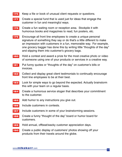- **176** Keep a file or book of unusual client requests or questions.
- **177** Create a special fund that is used just for ideas that engage the customer in fun and meaningful ways.
- **178** Create a fun waiting room or reception area. Stockpile it with humorous books and magazines to read, fun posters, etc.
- **179** Encourage all front line employees to create a unique personal signature of something they say or do that's a little different to make an impression with customers in a fun, memorable way. For example, one grocery bagger has done this by writing little "thoughts of the day" and slipping them into customer's grocery bags.
- **180** Hold a contest and award a prize for the most creative photo or video of someone using one of your products or services in a creative way.
- **181** Put funny quotes or "thoughts of the day" on customer's bills or invoices.
- **182** Collect and display great client testimonials to continually encourage front line employees to be at their best.
- **183** Look for simple ways to go beyond the expected. Actually brainstorm this with your team on a regular basis.
- **184** Create a humorous service slogan that describes your commitment to the customer.
- **185** Add humor to any instructions you give out.
- **186** Include customers in contests.
- **187** Include customers in some of your brainstorming sessions.
- **188** Create a funny "thought of the day" board or humor board for customers.
- **189** Hold annual, offbeat/wacky customer appreciation days.
- **190** Create a public display of customers' photos showing off your products from their travels around the globe.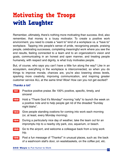### <span id="page-22-0"></span>**Motivating the Troops with Laughter**

Remember, ultimately, there's nothing more motivating than success. And, also remember, that money is a lousy motivator. To create a positive work environment, you need to create a "want to" kind of a workplace vs. a "have to" workplace. Tapping into people's sense of pride, recognizing people, praising people, celebrating successes, completing meaningful work where you see the end results, feeling connected to a team and to an organization's vision and goals, communicating in an honest and open manner, and treating people humanely, with respect and dignity, is what truly motivates people.

But, of course, who says you can't have a little fun along the way? Like in an ecosystem, everything in the workplace is interconnected, so when you do things to improve morale, chances are, you're also lowering stress levels, sparking more creativity, improving communication, and inspiring greater customer service ALL at the same time! Wow! How can you not get excited?

#### **Thanks a lot!**

- **191** Practice positive praise. Be 100% positive, specific, timely, and sincere!
- **192** Hold a "Thank God It's Monday!" morning "rally" to launch the week on a positive note and to help people get rid of the dreaded "Sunday night blahs".
- **193** Give people standing ovations for coming into work each morning (or, at least, every Monday morning).
- **194** During a particularly nice day of weather, take the team out for an impromptu trip to a nearby city park, zoo, aquarium, or beach.
- **195** Go to the airport, and welcome a colleague back from a long work trip.
- **196** Post a fun message of "Thanks!" in unusual places, such as: the back of a washroom stall's door, on wastebaskets, on the coffee pot, etc.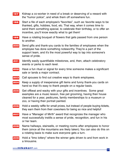- **197** Kidnap a co-worker in need of a break or deserving of a reward with the "humor police", and whisk them off somewhere fun.
- **198** Start a file of each employee's "favorites", such as: favorite ways to be thanked, gifts, hobbies, food, etc. That way, when it comes time to send them something special, to celebrate their birthday, or to offer an incentive, you'll know exactly what to get them!
- **199** Have a rotating bouquet of flowers that gets passed from one person to another.
- **200** Send gifts and thank-you cards to the families of employees when the employee has done something noteworthy. They're a part of the support team, and it's the most powerful way to tap into someone's sense of pride.
- **201** Identify easily quantifiable milestones, and, then, attach celebratory events or perks to each level.
- **202** Have a fun ritual or signal for every time someone makes a significant sale or lands a major contract.
- **203** Call spouses to find out creative ways to thank employees.
- **204** Keep a supply of inexpensive gift items and funny thank-you cards on hand so that it's easy to thank people on a regular basis.
- **205** Get offbeat and wacky with your gifts and incentives. Some great examples are a music lesson, free pet grooming, having their house cleaned for a year, pedicures, family memberships to a museum or zoo, or having their portrait painted.
- **206** Hold a weekly raffle for small prizes, but instead of people buying tickets, they earn them from their coworkers for being so nice and helpful!
- **207** Have a "Manager of Mirth" award that recognizes the manager who most successfully instills a sense of pride, recognition, and fun in his or her team.
- **208** Name hallways, stairwells, or meeting rooms after employees to honor them (since all the mountains are likely taken). You can also do this on a rotating basis to make sure everyone gets a turn.
- **209** Hold a "limo lottery" where the winner gets driven to and from work in a limousine.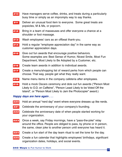- **210** Have managers serve coffee, drinks, and treats during a particularly busy time or simply as an impromptu way to say thanks.
- **211** Deliver an unusual food item to everyone. Some great treats are popsicles, M & Ms, or popcorn.
- **212** Bring in a team of masseuses and offer everyone a chance at a shoulder or foot massage.
- **213** Wash employees' cars as an offbeat thank-you.
- **214** Hold a regular "employee appreciation day" in the same way as customer appreciation days.
- **215** Give out fun awards that encourage positive behaviors. Some examples are: Best Sense of Humor, Nicest Smile, Most Fun Department, Most Likely to Be Adopted by a Customer, etc.
- **216** Create team awards in addition to individual awards.
- **217** Create a menu/shopping list of reward perks from which people can choose. That way, people get what they really want.
- **218** Name menu items in the company cafeteria after employees.
- **219** Hold a mock Oscars ceremony and dole out fun awards ("Person Most Likely to O.D. on Caffeine", "Person Least Likely to be Voted Off the Island", or "Person Most Likely to Jam the Photocopier" award.)

#### **Happy days are here again . . .**

- **220** Hold an annual "nerd day" event where everyone dresses up like nerds.
- **221** Celebrate the anniversary of your company's founding.
- **222** Celebrate the anniversary date of when people started working for your organization.
- **223** Once a week, say Friday mornings, have a "pass-the-joke" relay around the office. People are obliged to pass, by phone or in person, the same, clean joke to another person until everyone has heard it.
- **224** Create a fun start of the day team ritual to set the tone for the day.
- **225** Create a fun calendar that highlights employees' birthdays, significant organization dates, holidays, and social events.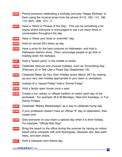- **226** Phone someone celebrating a birthday and play "Happy Birthday" to them using the musical tones from the phone (#112, 163, 112, 196, 110, 8521, 008, 121). 11
- **227** Have a "Word or Phrase of the Day". This can be something a bit wacky where everyone is encouraged to say it as many times in conversation throughout the day.
- **228** Have a "dress your boss or coworker" day.
- **229** Hold an annual 50's dress up day.
- **230** Have a prize for the best costume on Halloween, and hold a Halloween fashion show. Then, encourage people to go trick or treating down the hallways.
- **231** Hold a "beach party" in the middle of winter.
- **232** Celebrate obscure and unusual holidays, such as: Groundhog Day (February 2) or Talk Like a Pirate Day (September 19).
- 233 Celebrate Make Up Your Own Holiday (every March 26<sup>th</sup>) by making up your very own holiday appropriate to your team or workplace.
- **234** Instead of a "casual Friday" hold a "formal Friday".
- **235** Hold a family open house once a year.
- **236** Create a fun, wacky, or offbeat tradition to match each day of the workweek. For example: M & M Mondays, Take-Out Tuesdays, or Fun Dance Fridays.
- **237** Celebrate "Wacky Wednesdays" as a way to celebrate hump day.
- **238** If your profession doesn't have an official "X" day of celebration, then create one!
- **239** Give everyone on your team a special day when it is their holiday. For example: "Official Bob Day!"
- **240** Bring the beach to the office during the summer by having an indoor beach party complete with pink flamingoes, Hawaiian leis, fake palm trees, and lawn chairs.
- **241** Hold a Hawaiian shirt theme day.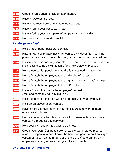- Create a fun slogan to kick off each month.
- Have a "wackiest tie" day.
- Have a wackiest sock or mismatched sock day.
- Have a "bring your pet to work" day.
- Have a "bring your grandparents" or "parents" to work day.
- Hold an ice cream sundae social.

#### **Let the games begin . . .**

- Hold a "rock-paper-scissors" contest.
- Have a "Word or Phrase that Pays" contest. Whoever first hears the phrase from someone out of the loop, or a customer, wins a small prize.
- Include families in company contests. For example, have them participate in contests to come up with a name for a new project or product.
- Hold a contest for people to write the funniest work-related joke.
- Hold a "match the employee to the baby photo" contest.
- Hold a "match the employee to the high school grad photo" contest.
- Hold a "match the employee to the pet" contest.
- Have a "match the foot to the employee" contest. (Yes, one company actually did this.)
- Hold a contest for the best work-related excuse by an employee.
- Hold an employee talent contest.
- Have a mini-golf golf match in your office, creating work-related obstacles and holes.
- Hold a contest in which teams create fun, one-minute ads for your company's products and services.
- Hold your own customized Olympic games.
- Create your own "Guinness book" of wacky, work-related records, such as: longest number of days the boss has gone without saying a certain phrase, maximum number of cups of coffee drank by an employee in a single day, or longest office commute.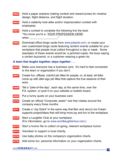| 262                                         | Hold a paper airplane making contest and reward prizes for creative<br>design, flight distance, and flight duration.                                                                                                                                                                                                                           |  |
|---------------------------------------------|------------------------------------------------------------------------------------------------------------------------------------------------------------------------------------------------------------------------------------------------------------------------------------------------------------------------------------------------|--|
| 263                                         | Hold a celebrity look-alike and/or impersonation contest with<br>employees.                                                                                                                                                                                                                                                                    |  |
| 264                                         | Hold a contest to complete the following line the best:<br>"You know you're a- YOUR PROFESSION HERE-<br>when when when the state of the state of the state of the state of the state of the state of the state of the state of the state of the state of the state of the state of the state of the state of the state of the state of         |  |
| 265                                         | Download office bingo cards from www.jobacle.com, or create your<br>own customized bingo cards featuring random events suitable for your<br>workplace that people must collect throughout a day or week. Some<br>examples of these events would be: a jammed copier, the boss saying<br>a certain buzzword, or a customer wearing a green tie. |  |
| A team that laughs together, stays together |                                                                                                                                                                                                                                                                                                                                                |  |
| 266                                         | Make sure everyone has a business card. It's hard to feel connected<br>to the team or organization if you don't.                                                                                                                                                                                                                               |  |
| 267                                         | Create fun, offbeat, colorful job titles for people, or, at least, let folks<br>come up with alter-ego job titles that capture the true essence of their<br>work.                                                                                                                                                                              |  |
| 268                                         | Tell a "joke-of-the-day", each day, at the same time, over the<br>P.A. system, or post it on your website or bulletin board.                                                                                                                                                                                                                   |  |
| 269                                         | Put a funny quote on your business card.                                                                                                                                                                                                                                                                                                       |  |
|                                             | Create an official "Corporate Jester" role that rotates around the<br>company every three months.                                                                                                                                                                                                                                              |  |
| 271                                         | Create a "Joy Grant" in the same way that Ben and Jerry's Ice Cream<br>supports project/ideas that will bring more joy and fun to the workplace.                                                                                                                                                                                               |  |

- **272** Start a Laughter Club at your workplace. (For information, go to [www.worldlaughtertour.com.](http://www.worldlaughtertour.com/))
- **273** Start a humor file to collect on-going, relevant workplace humor.
- **274** Volunteer to support a local charity.
- **275** Use baby photos on the company's organization charts.
- **276** Add some fun, personal information on your organization charts.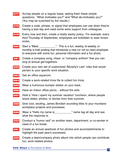|                               | Survey people on a regular basis, asking them these simple<br>questions: "What motivates you?" and "What de-motivates you?"<br>(You may be surprised by the results.) |  |
|-------------------------------|-----------------------------------------------------------------------------------------------------------------------------------------------------------------------|--|
| 278                           | Create a code, phrase, or signal that employees can use when they're<br>having a bad day and need some extra support from colleagues.                                 |  |
| 279                           | Every now and then, create a totally wacky policy. For example, every<br>third Thursday of September, employees are forbidden to wear brown<br>socks.                 |  |
| 280                           | monthly e-mail posting that introduces a new (or not so new) employee<br>to everyone with some fun, personal information and a fun photo.                             |  |
| 281                           | Create a company song, cheer, or "company anthem" that you can<br>sing at annual get-togethers.                                                                       |  |
| 282                           | Create your own set of customized "Murphy's Law" rules that would<br>pertain to your specific work situation.                                                         |  |
| 283                           | Get an office aquarium.                                                                                                                                               |  |
| 284                           | Create a work-related trivia file to collect fun trivia.                                                                                                              |  |
| 285                           | Wear a humorous bumper sticker on your back.                                                                                                                          |  |
| 286                           | Have an indoor office picnic without the ants.                                                                                                                        |  |
| 287                           | Hold a "How I spent my summer vacation" luncheon, where people<br>share slides, photos, or stories from their summer.                                                 |  |
| 288                           | Give cool, exciting, James Bondish sounding titles to your mundane<br>workplace projects and processes.                                                               |  |
| 289                           | Wear a "Hello my name is_______________" name tag all day and see<br>what the response is.                                                                            |  |
| 290                           | Conduct a "humor raid" on another team, department, or co-worker in<br>need of a fun break.                                                                           |  |
| 291                           | Create an annual yearbook of fun photos and accomplishments to<br>highlight the past year's successes.                                                                |  |
| 292                           | Create a team/company photo album into which people can contribute<br>fun, work-related photos.                                                                       |  |
| 340 Ways to Put Humor to Work |                                                                                                                                                                       |  |

29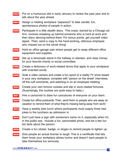- **293** Put on a humorous skit in early January to review the past year and to talk about the year ahead.
- **294** Assign a rotating workplace "paparazzi" to take candid, fun, spontaneous photos of people in action.
- **295** Participate in a little stealth disco. This craze, started by a Chicago ad firm, involves sneaking up behind someone who is hard at work and then disco dancing behind them. For bonus points, get yourself video taped. Then, send a copy to the hard-working, oblivious employee who missed out on the whole thing!
- **296** Hold an office garage sale where people get to swap different office equipment and supplies.
- **297** Set up a lemonade stand in the hallway or elevator, and raise money for your favorite charity or social committee.
- **298** Create a dictionary of work-related terms that apply to your workplace with invented words.
- **299** Grab a video camera and create a fun spoof of a reality TV show based in your very workplace, complete with "person on the street" interviews, off the cuff comments, and watching in on an employee meeting.
- **300** Create your own fortune cookies and slip in work-related fortunes. (Surprisingly, the cookies are quite easy to bake.)
- **301** Hire a cartoonist to draw fun caricatures of everyone on your team.
- **302** Create fun office postcards. Then, send them to people who are away on vacation to remind them of what they're missing being away from work!
- **303** Have a weekly joke lunch where participants must supply three new jokes to the luncheon as admission in.
- **304** Don't just have a sign with someone's name on it, especially when it's in the public eye. Include a fun, personable photo, and list a few fun bio facts about the person.
- **305** Create a fun sticker, badge, or slogan to remind people to lighten up.
- **306** Give people an actual license to laugh. This is a certificate that lets them know your workplace allows humor and doesn't want people to take themselves too seriously.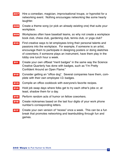- **307** Hire a comedian, magician, improvisational troupe, or hypnotist for a networking event. Nothing encourages networking like some hearty laughter.
- **308** Create a theme song (or pick an already existing one) that suits your workplace.
- **309** Workplaces often have baseball teams, so why not create a workplace book club, chess club, gardening club, tennis club, or yoga club?
- **310** Find creative ways to let employees bring their personal talents and passions into the workplace. For example, if someone is an artist, encourage them to participate in designing posters or doing sketches of coworkers; if someone plays an instrument, have them play in the lobby one lunch hour a week.
- **311** Create your own offbeat "merit badges" in the same way the Science Creative Quarterly has done with badges, such as "I'm Pretty Confident Around an Open Flame."
- **312** Consider getting an "office dog". Several companies have them, complete with their own employee I.D. badges.
- **313** Compile an office cookbook with everyone's favorite recipes.
- **314** Hold job swap days where folks get to try each other's jobs or, at least, shadow them for a day.
- **315** Perform random acts of humor on fellow coworkers.
- **316** Create nicknames based on the last four digits of your work phone number's corresponding letters.
- **317** Create your own version of "recess" once a week. This can be a fun break that promotes networking and teambuilding through fun and games.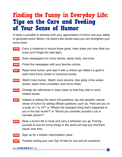#### <span id="page-31-0"></span>**Finding the Funny in Everyday Life: Tips on the Care and Feeding of Your Sense of Humor**

It really is possible to develop both your *appreciation* of humor and your ability to generate humor. Below, I've listed a few simple ways you can strengthen your funny bone.

- **318** Carry a notebook to record those great, clean jokes you hear (that you know you'll forget the next day!).
- **319** Scan newspapers for funny stories, wacky facts, and trivia.
- **320** Finish the newspaper with your favorite comics.
- **321** Read more humor, and read it with a critical eye. Make it a goal to read more funny novels or humorous books.
- **322** Watch more humor. Watch more sitcoms, less grisly crime scene shows; watch more comedies, less horror flicks.
- **323** Change the references in clean jokes so that they refer to workrelated issues.
- **324** Instead of asking the same old questions, tap into people's natural sense of humor by asking offbeat questions, such as: "How are you on a scale of 1 to 10?" or "What's the strangest thing that's happened to you in the last month?" or "Would you consider yourself a cat or hamster person?".
- **325** Keep a humor file or book and carry it wherever you go. Forcing yourself to look for funny things in the world will help you find them easier over time.
- **326** Sign up for a theater improvisation class.
- **327** Practice writing your own Top-10 lists for any and all occasions.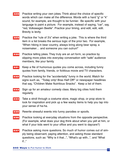- **328** Practice writing your own jokes. Think about the choice of specific words which can make all the difference. Words with a hard "g" or "k" sound, for example, are thought to be funnier. Be specific with your language to paint a picture. For example, instead of saying, "car", say, "red, Volkswagen Beetle". Practice your timing, and edit, edit, edit. Brevity is levity.
- **329** Practice the "rule of 3's" when writing a joke. This is where the third item in a list breaks the serious logic of the prior two. For example, "When hiking in bear country, always bring along bear spray, a noisemaker… and someone you can outrun!"
- **330** Practice telling jokes. They truly are an art form, so practice by slipping more jokes into everyday conversation with "safe" audience members, like your family.
- **331** Keep a file of humorous quotes you come across, including funny quotes from family, friends, or fictitious movie and TV characters.
- **332** Practice looking for the "accidentally" funny in the world. Watch for signs such as, "Today only! Bras Half Off!" or newspaper headlines that say, "Children Make Nutritious Snacks". Keep a list of them.
- **333** Sign up for an amateur comedy class. Many big cities hold them regularly.
- **334** Take a stroll through a costume store, magic shop, or prop store to look for inspiration and pick up a few wacky items to help you tap into your sense of ha-ha.
- **335** Rewrite stressful events into funny parodies or spoofs.
- **336** Practice looking at everyday situations from the opposite perspective. (For example, what does your dog think about when you yell at him, or what if your kids went to your office and you went to daycare?)
- **337** Practice asking more questions. So much of humor comes out of simply being observant, paying attention, and asking those standard questions, such as: "Why is it that...", "What's up with...", and "What if..."